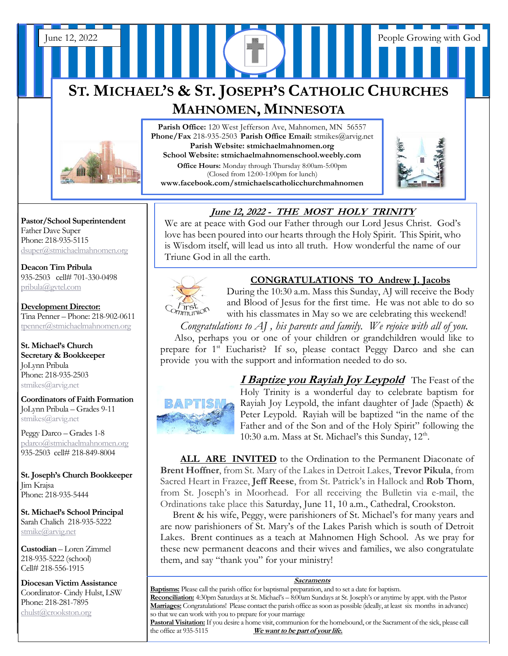# **ST. MICHAEL'S & ST. JOSEPH'S CATHOLIC CHURCHES MAHNOMEN, MINNESOTA**

June 12, 2022 People Growing with God



**Pastor/School Superintendent** Father Dave Super Phone: 218-935-5115 [dsuper@stmichaelmahnomen.org](mailto:dsuper@stmichaelmahnomen.org)

**Deacon Tim Pribula** 935-2503 cell# 701-330-0498 [pribula@gvtel.com](mailto:pribula@gvtel.com)

**Development Director:** Tina Penner – Phone: 218-902-0611 [tpenner@stmichaelmahnomen.org](mailto:tpenner@stmichaelmahnomen.org)

**St. Michael's Church Secretary & Bookkeeper** JoLynn Pribula Phone: 218-935-2503 stmikes@arvig.net

**Coordinators of Faith Formation**  JoLynn Pribula – Grades 9-11 stmikes@arvig.net

Peggy Darco – Grades 1-8 [pdarco@stmichaelmahnomen.org](mailto:pdarco@stmichaelmahnomen.org) 935-2503 cell# 218-849-8004

**St. Joseph's Church Bookkeeper** Jim Krajsa Phone: 218-935-5444

**St. Michael's School Principal** Sarah Chalich 218-935-5222 [stmike@arvig.net](mailto:stmike@arvig.net) 

**Custodian** – Loren Zimmel 218-935-5222 (school) Cell# 218-556-1915

**Diocesan Victim Assistance** Coordinator- Cindy Hulst, LSW Phone: 218-281-7895 [chulst@crookston.org](mailto:chulst@crookston.org)

j

Parish Office: 120 West Jefferson Ave, Mahnomen, MN 56557 **Phone/Fax** 218-935-2503 **Parish Office Email:** stmikes@arvig.net **Parish Website: stmichaelmahnomen.org School Website: stmichaelmahnomenschool.weebly.com Office Hours:** Monday through Thursday 8:00am-5:00pm (Closed from 12:00-1:00pm for lunch) **www.facebook.com/stmichaelscatholicchurchmahnomen**



#### **June 12, 2022 - THE MOST HOLY TRINITY**  $\overline{\phantom{a}}$   $\overline{\phantom{a}}$   $\overline{\phantom{a}}$   $\overline{\phantom{a}}$   $\overline{\phantom{a}}$   $\overline{\phantom{a}}$   $\overline{\phantom{a}}$   $\overline{\phantom{a}}$   $\overline{\phantom{a}}$   $\overline{\phantom{a}}$   $\overline{\phantom{a}}$   $\overline{\phantom{a}}$   $\overline{\phantom{a}}$   $\overline{\phantom{a}}$   $\overline{\phantom{a}}$   $\overline{\phantom{a}}$   $\overline{\phantom{a}}$   $\overline{\phantom{a}}$   $\overline{\$  $\frac{m}{100}$  made 12, 2022 - THE MOST HOLY

We are at peace with God our Father through our Lord Jesus Christ. God's love has been poured into our hearts through the Holy Spirit. This Spirit, who is Wisdom itself, will lead us into all truth. How wonderful the name of our  Is wisdom itsen, will lead us find an truth. Trow v<br>Triune God in all the earth. *12/31/16 as well as new gifts can be received until* 



## **CONGRATULATIONS TO Andrew J. Jacobs**

During the 10:30 a.m. Mass this Sunday, AJ will receive the Body bull in the table in the vestibule of the Church. Or *remain on the table in the vestibule of the Church***.** and Blood of Jesus for the first time. He was not able to do so *Communion* and blood of jesus for the first time. The was not able to do.<br>with his classmates in May so we are celebrating this weekend!

 *Congratulations to AJ , his parents and family. We rejoice with all of you.* Also, perhaps you or one of your children or grandchildren would like to prepare for 1<sup>st</sup> Eucharist? If so, please contact Peggy Darco and she can provide you with the support and information needed to do so.



**I Baptize you Rayiah Joy Leypold** The Feast of the Holy Trinity is a wonderful day to celebrate baptism for Rayiah Joy Leypold, the infant daughter of Jade (Spaeth) & Peter Leypold. Rayiah will be baptized "in the name of the Father and of the Son and of the Holy Spirit" following the 10:30 a.m. Mass at St. Michael's this Sunday, 12<sup>th</sup>.

 **ALL ARE INVITED** to the Ordination to the Permanent Diaconate of **Brent Hoffner**, from St. Mary of the Lakes in Detroit Lakes, **Trevor Pikula**, from Sacred Heart in Frazee, **Jeff Reese**, from St. Patrick's in Hallock and **Rob Thom**, from St. Joseph's in Moorhead. For all receiving the Bulletin via e-mail, the Ordinations take place this Saturday, June 11, 10 a.m., Cathedral, Crookston.

 Brent & his wife, Peggy, were parishioners of St. Michael's for many years and are now parishioners of St. Mary's of the Lakes Parish which is south of Detroit Lakes. Brent continues as a teach at Mahnomen High School. As we pray for these new permanent deacons and their wives and families, we also congratulate them, and say "thank you" for your ministry!

#### **Sacraments**

**Baptisms:** Please call the parish office for baptismal preparation, and to set a date for baptism. **Reconciliation:** 4:30pm Saturdays at St. Michael's – 8:00am Sundays at St. Joseph's or anytime by appt. with the Pastor **Marriages:** Congratulations! Please contact the parish office as soon as possible (ideally, at least six months in advance) so that we can work with you to prepare for your marriage

**Pastoral Visitation:** If you desire a home visit, communion for the homebound, or the Sacrament of the sick, please call the office at 935-5115 We want to be part of your life. We want to be part of your life.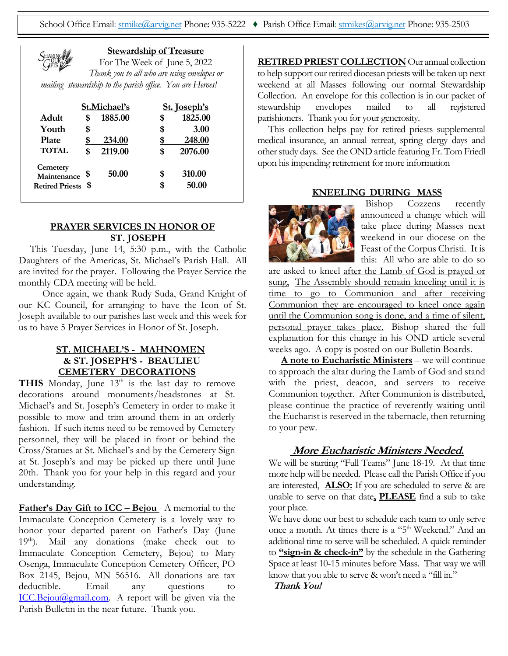

#### **Stewardship of Treasure**

For The Week of June 5, 2022 *Thank you to all who are using envelopes or mailing stewardship to the parish office. You are Heroes!*

|                         | St.Michael's |         | <b>St.</b> Joseph's |         |
|-------------------------|--------------|---------|---------------------|---------|
| Adult                   | \$           | 1885.00 | \$                  | 1825.00 |
| Youth                   | \$           |         | \$                  | 3.00    |
| <b>Plate</b>            | \$           | 234.00  |                     | 248.00  |
| <b>TOTAL</b>            | \$           | 2119.00 | S                   | 2076.00 |
| Cemetery<br>Maintenance |              | 50.00   | S                   | 310.00  |
| <b>Retired Priests</b>  | -S           |         | S                   | 50.00   |

#### **PRAYER SERVICES IN HONOR OF ST. JOSEPH**

This Tuesday, June 14, 5:30 p.m., with the Catholic Daughters of the Americas, St. Michael's Parish Hall. All are invited for the prayer. Following the Prayer Service the monthly CDA meeting will be held.

 Once again, we thank Rudy Suda, Grand Knight of our KC Council, for arranging to have the Icon of St. Joseph available to our parishes last week and this week for us to have 5 Prayer Services in Honor of St. Joseph.

#### **ST. MICHAEL'S - MAHNOMEN & ST. JOSEPH'S - BEAULIEU CEMETERY DECORATIONS**

**THIS** Monday, June  $13<sup>th</sup>$  is the last day to remove decorations around monuments/headstones at St. Michael's and St. Joseph's Cemetery in order to make it possible to mow and trim around them in an orderly fashion. If such items need to be removed by Cemetery personnel, they will be placed in front or behind the Cross/Statues at St. Michael's and by the Cemetery Sign at St. Joseph's and may be picked up there until June 20th. Thank you for your help in this regard and your understanding.

**Father's Day Gift to ICC – Bejou** A memorial to the Immaculate Conception Cemetery is a lovely way to honor your departed parent on Father's Day (June 19th). Mail any donations (make check out to Immaculate Conception Cemetery, Bejou) to Mary Osenga, Immaculate Conception Cemetery Officer, PO Box 2145, Bejou, MN 56516. All donations are tax deductible. Email any questions to [ICC.Bejou@gmail.com.](mailto:ICC.Bejou@gmail.com) A report will be given via the Parish Bulletin in the near future. Thank you.

**RETIRED PRIEST COLLECTION** Our annual collection to help support our retired diocesan priests will be taken up next weekend at all Masses following our normal Stewardship Collection. An envelope for this collection is in our packet of<br>stewardship envelopes mailed to all registered stewardship envelopes mailed to all registered parishioners. Thank you for your generosity.

 This collection helps pay for retired priests supplemental medical insurance, an annual retreat, spring clergy days and other study days. See the OND article featuring Fr. Tom Friedl upon his impending retirement for more information

#### **KNEELING DURING MASS**



Bishop Cozzens recently announced a change which will take place during Masses next weekend in our diocese on the Feast of the Corpus Christi. It is this: All who are able to do so

are asked to kneel after the Lamb of God is prayed or sung, The Assembly should remain kneeling until it is time to go to Communion and after receiving Communion they are encouraged to kneel once again until the Communion song is done, and a time of silent, personal prayer takes place. Bishop shared the full explanation for this change in his OND article several weeks ago. A copy is posted on our Bulletin Boards.

 **A note to Eucharistic Ministers** – we will continue to approach the altar during the Lamb of God and stand with the priest, deacon, and servers to receive Communion together. After Communion is distributed, please continue the practice of reverently waiting until the Eucharist is reserved in the tabernacle, then returning to your pew.

#### **More Eucharistic Ministers Needed.**

We will be starting "Full Teams" June 18-19. At that time more help will be needed. Please call the Parish Office if you are interested, **ALSO:** If you are scheduled to serve & are unable to serve on that date**, PLEASE** find a sub to take your place.

We have done our best to schedule each team to only serve once a month. At times there is a "5<sup>th</sup> Weekend." And an additional time to serve will be scheduled. A quick reminder to **"sign-in & check-in"** by the schedule in the Gathering Space at least 10-15 minutes before Mass. That way we will know that you able to serve & won't need a "fill in."

**Thank You!**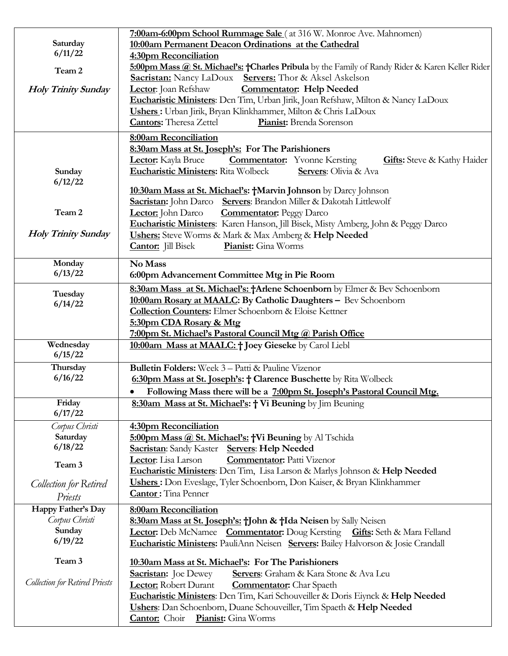|                                       | 7:00am-6:00pm School Rummage Sale (at 316 W. Monroe Ave. Mahnomen)                               |  |  |  |
|---------------------------------------|--------------------------------------------------------------------------------------------------|--|--|--|
| Saturday                              | 10:00am Permanent Deacon Ordinations at the Cathedral                                            |  |  |  |
| 6/11/22                               | 4:30pm Reconciliation                                                                            |  |  |  |
| Team 2                                | 5:00pm Mass @ St. Michael's: †Charles Pribula by the Family of Randy Rider & Karen Keller Rider  |  |  |  |
|                                       | <b>Servers:</b> Thor & Aksel Askelson<br><b>Sacristan:</b> Nancy LaDoux                          |  |  |  |
| <b>Holy Trinity Sunday</b>            | <b>Commentator:</b> Help Needed<br>Lector: Joan Refshaw                                          |  |  |  |
|                                       | Eucharistic Ministers: Dcn Tim, Urban Jirik, Joan Refshaw, Milton & Nancy LaDoux                 |  |  |  |
|                                       | Ushers: Urban Jirik, Bryan Klinkhammer, Milton & Chris LaDoux                                    |  |  |  |
|                                       | <b>Cantors:</b> Theresa Zettel<br>Pianist: Brenda Sorenson                                       |  |  |  |
|                                       | 8:00am Reconciliation                                                                            |  |  |  |
|                                       | 8:30am Mass at St. Joseph's: For The Parishioners                                                |  |  |  |
|                                       | Lector: Kayla Bruce<br><b>Commentator:</b> Yvonne Kersting<br><b>Gifts:</b> Steve & Kathy Haider |  |  |  |
| Sunday<br>6/12/22                     | <b>Eucharistic Ministers: Rita Wolbeck</b><br>Servers: Olivia & Ava                              |  |  |  |
|                                       | 10:30am Mass at St. Michael's: †Marvin Johnson by Darcy Johnson                                  |  |  |  |
|                                       | Servers: Brandon Miller & Dakotah Littlewolf<br>Sacristan: John Darco                            |  |  |  |
| Team 2                                | Lector: John Darco<br><b>Commentator:</b> Peggy Darco                                            |  |  |  |
|                                       | Eucharistic Ministers: Karen Hanson, Jill Bisek, Misty Amberg, John & Peggy Darco                |  |  |  |
| <b>Holy Trinity Sunday</b>            | Ushers: Steve Worms & Mark & Max Amberg & Help Needed                                            |  |  |  |
|                                       | Pianist: Gina Worms<br><b>Cantor:</b> Jill Bisek                                                 |  |  |  |
|                                       |                                                                                                  |  |  |  |
| Monday<br>6/13/22                     | No Mass                                                                                          |  |  |  |
|                                       | 6:00pm Advancement Committee Mtg in Pie Room                                                     |  |  |  |
| Tuesday                               | 8:30am Mass at St. Michael's: †Arlene Schoenborn by Elmer & Bev Schoenborn                       |  |  |  |
| 6/14/22                               | 10:00am Rosary at MAALC: By Catholic Daughters - Bev Schoenborn                                  |  |  |  |
|                                       | <b>Collection Counters:</b> Elmer Schoenborn & Eloise Kettner                                    |  |  |  |
|                                       | 5:30pm CDA Rosary & Mtg                                                                          |  |  |  |
|                                       | 7:00pm St. Michael's Pastoral Council Mtg @ Parish Office                                        |  |  |  |
| Wednesday                             | 10:00am Mass at MAALC: † Joey Gieseke by Carol Liebl                                             |  |  |  |
| 6/15/22                               |                                                                                                  |  |  |  |
| Thursday<br>6/16/22                   | <b>Bulletin Folders:</b> Week 3 - Patti & Pauline Vizenor                                        |  |  |  |
|                                       | 6:30pm Mass at St. Joseph's: † Clarence Buschette by Rita Wolbeck                                |  |  |  |
|                                       | Following Mass there will be a 7:00pm St. Joseph's Pastoral Council Mtg.                         |  |  |  |
| Friday                                | 8:30am Mass at St. Michael's: † Vi Beuning by Jim Beuning                                        |  |  |  |
| 6/17/22                               |                                                                                                  |  |  |  |
| Corpus Christi                        | 4:30pm Reconciliation                                                                            |  |  |  |
| Saturday                              | 5:00pm Mass @ St. Michael's: +Vi Beuning by Al Tschida                                           |  |  |  |
| 6/18/22                               | <b>Sacristan:</b> Sandy Kaster <b>Servers: Help Needed</b>                                       |  |  |  |
| Team 3                                | <b>Commentator:</b> Patti Vizenor<br>Lector: Lisa Larson                                         |  |  |  |
|                                       | Eucharistic Ministers: Den Tim, Lisa Larson & Marlys Johnson & Help Needed                       |  |  |  |
| <b>Collection for Retired</b>         | Ushers: Don Eveslage, Tyler Schoenborn, Don Kaiser, & Bryan Klinkhammer                          |  |  |  |
| Priests                               | <b>Cantor:</b> Tina Penner                                                                       |  |  |  |
| Happy Father's Day                    | 8:00am Reconciliation                                                                            |  |  |  |
| Corpus Christi                        | 8:30am Mass at St. Joseph's: †John & †Ida Neisen by Sally Neisen                                 |  |  |  |
| Sunday                                | <b>Lector:</b> Deb McNamee Commentator: Doug Kersting Gifts: Seth & Mara Felland                 |  |  |  |
| 6/19/22                               | Eucharistic Ministers: PauliAnn Neisen Servers: Bailey Halvorson & Josie Crandall                |  |  |  |
| Team 3                                | 10:30am Mass at St. Michael's: For The Parishioners                                              |  |  |  |
|                                       | Servers: Graham & Kara Stone & Ava Leu<br><b>Sacristan:</b> Joe Dewey                            |  |  |  |
| <b>Collection for Retired Priests</b> | Lector: Robert Durant<br><b>Commentator:</b> Char Spaeth                                         |  |  |  |
|                                       | Eucharistic Ministers: Den Tim, Kari Schouveiller & Doris Eiynck & Help Needed                   |  |  |  |
|                                       | Ushers: Dan Schoenborn, Duane Schouveiller, Tim Spaeth & Help Needed                             |  |  |  |
|                                       | <b>Cantor:</b> Choir Pianist: Gina Worms                                                         |  |  |  |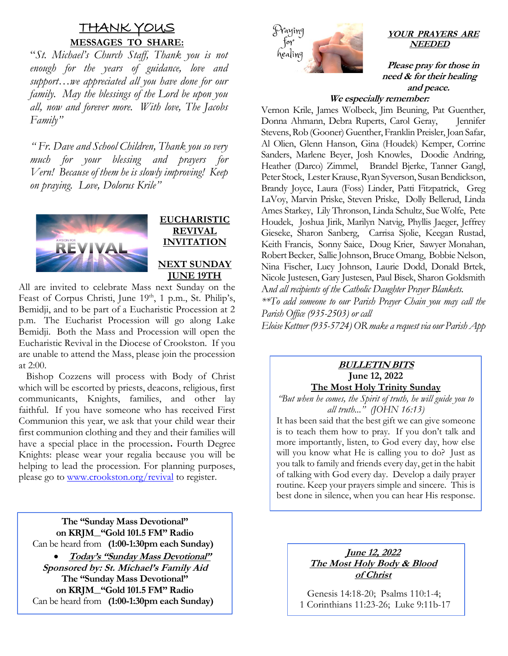## <u>THANK YOUS</u> **MESSAGES TO SHARE:**

 "*St. Michael's Church Staff, Thank you is not enough for the years of guidance, love and support…we appreciated all you have done for our family. May the blessings of the Lord be upon you all, now and forever more. With love, The Jacobs Family"*

 *" Fr. Dave and School Children, Thank you so very much for your blessing and prayers for Vern! Because of them he is slowly improving! Keep on praying. Love, Dolorus Krile"*



## **EUCHARISTIC REVIVAL INVITATION**

**NEXT SUNDAY JUNE 19TH**

All are invited to celebrate Mass next Sunday on the Feast of Corpus Christi, June 19<sup>th</sup>, 1 p.m., St. Philip's, Bemidji, and to be part of a Eucharistic Procession at 2 p.m. The Eucharist Procession will go along Lake Bemidji. Both the Mass and Procession will open the Eucharistic Revival in the Diocese of Crookston. If you are unable to attend the Mass, please join the procession at 2:00.

 Bishop Cozzens will process with Body of Christ which will be escorted by priests, deacons, religious, first communicants, Knights, families, and other lay faithful. If you have someone who has received First Communion this year, we ask that your child wear their first communion clothing and they and their families will have a special place in the procession**.** Fourth Degree Knights: please wear your regalia because you will be helping to lead the procession. For planning purposes, please go to [www.crookston.org/revival](http://www.crookston.org/revival) to register.

**The "Sunday Mass Devotional" on KRJM "Gold 101.5 FM" Radio** Can be heard from **(1:00-1:30pm each Sunday)** • **Today's "Sunday Mass Devotional" Sponsored by: St. Michael's Family Aid The "Sunday Mass Devotional" on KRJM "Gold 101.5 FM" Radio** Can be heard from **(1:00-1:30pm each Sunday)**

 $\overline{a}$ 



#### **YOUR PRAYERS ARE NEEDED**

**Please pray for those in need & for their healing and peace.** 

#### **We especially remember:**

Vernon Krile, James Wolbeck, Jim Beuning, Pat Guenther, Donna Ahmann, Debra Ruperts, Carol Geray, Jennifer Stevens, Rob (Gooner) Guenther, Franklin Preisler, Joan Safar, Al Olien, Glenn Hanson, Gina (Houdek) Kemper, Corrine Sanders, Marlene Beyer, Josh Knowles, Doodie Andring, Heather (Darco) Zimmel, Brandel Bjerke, Tanner Gangl, Peter Stock, Lester Krause, Ryan Syverson, Susan Bendickson, Brandy Joyce, Laura (Foss) Linder, Patti Fitzpatrick, Greg LaVoy, Marvin Priske, Steven Priske, Dolly Bellerud, Linda Ames Starkey, Lily Thronson, Linda Schultz, Sue Wolfe, Pete Houdek, Joshua Jirik, Marilyn Natvig, Phyllis Jaeger, Jeffrey Gieseke, Sharon Sanberg, Carrisa Sjolie, Keegan Rustad, Keith Francis, Sonny Saice,Doug Krier, Sawyer Monahan, Robert Becker, Sallie Johnson, Bruce Omang, Bobbie Nelson, Nina Fischer, Lucy Johnson, Laurie Dodd, Donald Brtek, Nicole Justesen, Gary Justesen, Paul Bisek, Sharon Goldsmith A*nd all recipients of the Catholic Daughter Prayer Blankets.*

*\*\*To add someone to our Parish Prayer Chain you may call the Parish Office (935-2503) or call* 

*Eloise Kettner (935-5724) OR make a request via our Parish App*

#### **BULLETIN BITS June 12, 2022 The Most Holy Trinity Sunday**

*"But when he comes, the Spirit of truth, he will guide you to all truth..." (JOHN 16:13)*

It has been said that the best gift we can give someone is to teach them how to pray. If you don't talk and more importantly, listen, to God every day, how else will you know what He is calling you to do? Just as you talk to family and friends every day, get in the habit of talking with God every day. Develop a daily prayer routine. Keep your prayers simple and sincere. This is best done in silence, when you can hear His response.

#### **June 12, 2022 The Most Holy Body & Blood of Christ**

Genesis 14:18-20; Psalms 110:1-4; 1 Corinthians 11:23-26; Luke 9:11b-17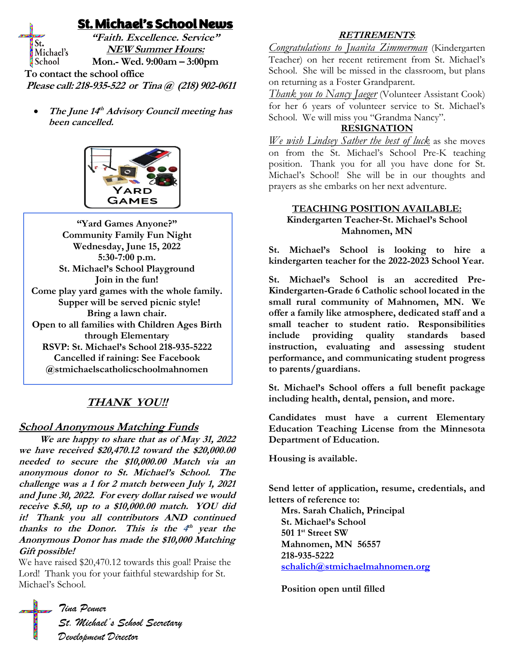## St. Michael's School News

**"Faith. Excellence. Service"** St. **NEW Summer Hours:** Michael's **Mon.- Wed. 9:00am – 3:00pm** School  **To contact the school office Please call: 218-935-522 or Tina @ (218) 902-0611**

• The June 14<sup>th</sup> Advisory Council meeting has **been cancelled.**



**"Yard Games Anyone?" Community Family Fun Night Wednesday, June 15, 2022 5:30-7:00 p.m. St. Michael's School Playground Join in the fun! Come play yard games with the whole family. Supper will be served picnic style! Bring a lawn chair. Open to all families with Children Ages Birth through Elementary RSVP: St. Michael's School 218-935-5222 Cancelled if raining: See Facebook @stmichaelscatholicschoolmahnomen**

## **THANK YOU!!**

### **School Anonymous Matching Funds**

 **We are happy to share that as of May 31, 2022 we have received \$20,470.12 toward the \$20,000.00 needed to secure the \$10,000.00 Match via an anonymous donor to St. Michael's School. The challenge was a 1 for 2 match between July 1, 2021 and June 30, 2022. For every dollar raised we would receive \$.50, up to a \$10,000.00 match. YOU did it! Thank you all contributors AND continued**  thanks to the Donor. This is the  $4^{\text{th}}$  year the **Anonymous Donor has made the \$10,000 Matching Gift possible!**

We have raised \$20,470.12 towards this goal! Praise the Lord! Thank you for your faithful stewardship for St. Michael's School.

#### **RETIREMENTS**:

*Congratulations to Juanita Zimmerman* (Kindergarten Teacher) on her recent retirement from St. Michael's School. She will be missed in the classroom, but plans on returning as a Foster Grandparent.

*Thank you to Nancy Jaeger* (Volunteer Assistant Cook) for her 6 years of volunteer service to St. Michael's School. We will miss you "Grandma Nancy".

#### **RESIGNATION**

*We wish Lindsey Sather the best of luck* as she moves on from the St. Michael's School Pre-K teaching position. Thank you for all you have done for St. Michael's School! She will be in our thoughts and prayers as she embarks on her next adventure.

#### **TEACHING POSITION AVAILABLE: Kindergarten Teacher-St. Michael's School Mahnomen, MN**

**St. Michael's School is looking to hire a kindergarten teacher for the 2022-2023 School Year.** 

**St. Michael's School is an accredited Pre-Kindergarten-Grade 6 Catholic school located in the small rural community of Mahnomen, MN. We offer a family like atmosphere, dedicated staff and a small teacher to student ratio. Responsibilities include providing quality standards based instruction, evaluating and assessing student performance, and communicating student progress to parents/guardians.**

**St. Michael's School offers a full benefit package including health, dental, pension, and more.**

**Candidates must have a current Elementary Education Teaching License from the Minnesota Department of Education.**

**Housing is available.**

**Send letter of application, resume, credentials, and letters of reference to:**

 **Mrs. Sarah Chalich, Principal St. Michael's School 501 1st Street SW Mahnomen, MN 56557 218-935-5222 [schalich@stmichaelmahnomen.org](mailto:schalich@stmichaelmahnomen.org)**

 **Position open until filled**

*Tina Penner St. Michael's School Secretary Development Director*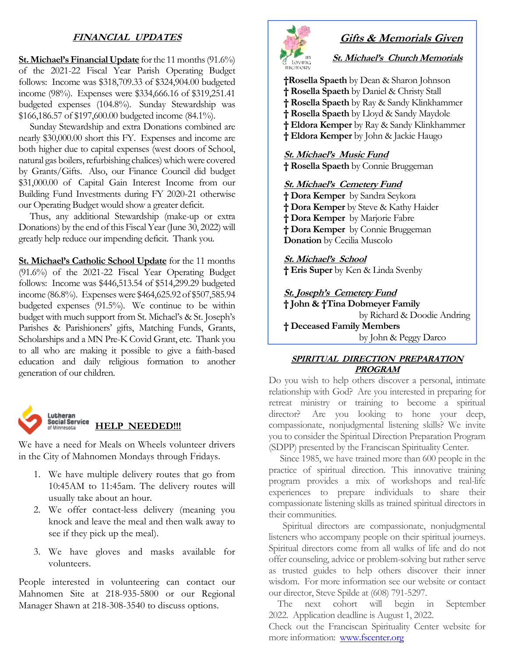### **FINANCIAL UPDATES**

**St. Michael's Financial Update** for the 11 months (91.6%) of the 2021-22 Fiscal Year Parish Operating Budget follows: Income was \$318,709.33 of \$324,904.00 budgeted income (98%). Expenses were \$334,666.16 of \$319,251.41 budgeted expenses (104.8%). Sunday Stewardship was \$166,186.57 of \$197,600.00 budgeted income (84.1%).

 Sunday Stewardship and extra Donations combined are nearly \$30,000.00 short this FY. Expenses and income are both higher due to capital expenses (west doors of School, natural gas boilers, refurbishing chalices) which were covered by Grants/Gifts. Also, our Finance Council did budget \$31,000.00 of Capital Gain Interest Income from our Building Fund Investments during FY 2020-21 otherwise our Operating Budget would show a greater deficit.

 Thus, any additional Stewardship (make-up or extra Donations) by the end of this Fiscal Year (June 30, 2022) will greatly help reduce our impending deficit. Thank you.

**St. Michael's Catholic School Update** for the 11 months (91.6%) of the 2021-22 Fiscal Year Operating Budget follows: Income was \$446,513.54 of \$514,299.29 budgeted income (86.8%). Expenses were \$464,625.92 of \$507,585.94 budgeted expenses (91.5%). We continue to be within budget with much support from St. Michael's & St. Joseph's Parishes & Parishioners' gifts, Matching Funds, Grants, Scholarships and a MN Pre-K Covid Grant, etc. Thank you to all who are making it possible to give a faith-based education and daily religious formation to another generation of our children.



We have a need for Meals on Wheels volunteer drivers in the City of Mahnomen Mondays through Fridays.

- 1. We have multiple delivery routes that go from 10:45AM to 11:45am. The delivery routes will usually take about an hour.
- 2. We offer contact-less delivery (meaning you knock and leave the meal and then walk away to see if they pick up the meal).
- 3. We have gloves and masks available for volunteers.

People interested in volunteering can contact our Mahnomen Site at 218-935-5800 or our Regional Manager Shawn at 218-308-3540 to discuss options.



## **Gifts & Memorials Given**

**St. Michael's Church Memorials**

**†Rosella Spaeth** by Dean & Sharon Johnson **† Rosella Spaeth** by Daniel & Christy Stall **† Rosella Spaeth** by Ray & Sandy Klinkhammer **† Rosella Spaeth** by Lloyd & Sandy Maydole **† Eldora Kemper** by Ray & Sandy Klinkhammer **† Eldora Kemper** by John & Jackie Haugo

**St. Michael's Music Fund † Rosella Spaeth** by Connie Bruggeman

#### **St. Michael's Cemetery Fund**

**† Dora Kemper** by Sandra Seykora **† Dora Kemper** by Steve & Kathy Haider **† Dora Kemper** by Marjorie Fabre **† Dora Kemper** by Connie Bruggeman **Donation** by Cecilia Muscolo

**St. Michael's School † Eris Super** by Ken & Linda Svenby

**St. Joseph's Cemetery Fund † John & †Tina Dobmeyer Family** by Richard & Doodie Andring **† Deceased Family Members** by John & Peggy Darco

#### **SPIRITUAL DIRECTION PREPARATION PROGRAM**

Do you wish to help others discover a personal, intimate relationship with God? Are you interested in preparing for retreat ministry or training to become a spiritual director? Are you looking to hone your deep, compassionate, nonjudgmental listening skills? We invite you to consider the Spiritual Direction Preparation Program (SDPP) presented by the Franciscan Spirituality Center.

 Since 1985, we have trained more than 600 people in the practice of spiritual direction. This innovative training program provides a mix of workshops and real-life experiences to prepare individuals to share their compassionate listening skills as trained spiritual directors in their communities.

 Spiritual directors are compassionate, nonjudgmental listeners who accompany people on their spiritual journeys. Spiritual directors come from all walks of life and do not offer counseling, advice or problem-solving but rather serve as trusted guides to help others discover their inner wisdom. For more information see our website or contact our director, Steve Spilde at (608) 791-5297.

 The next cohort will begin in September 2022. Application deadline is August 1, 2022.

Check out the Franciscan Spirituality Center website for more information: [www.fscenter.org](http://www.fscenter.org/)